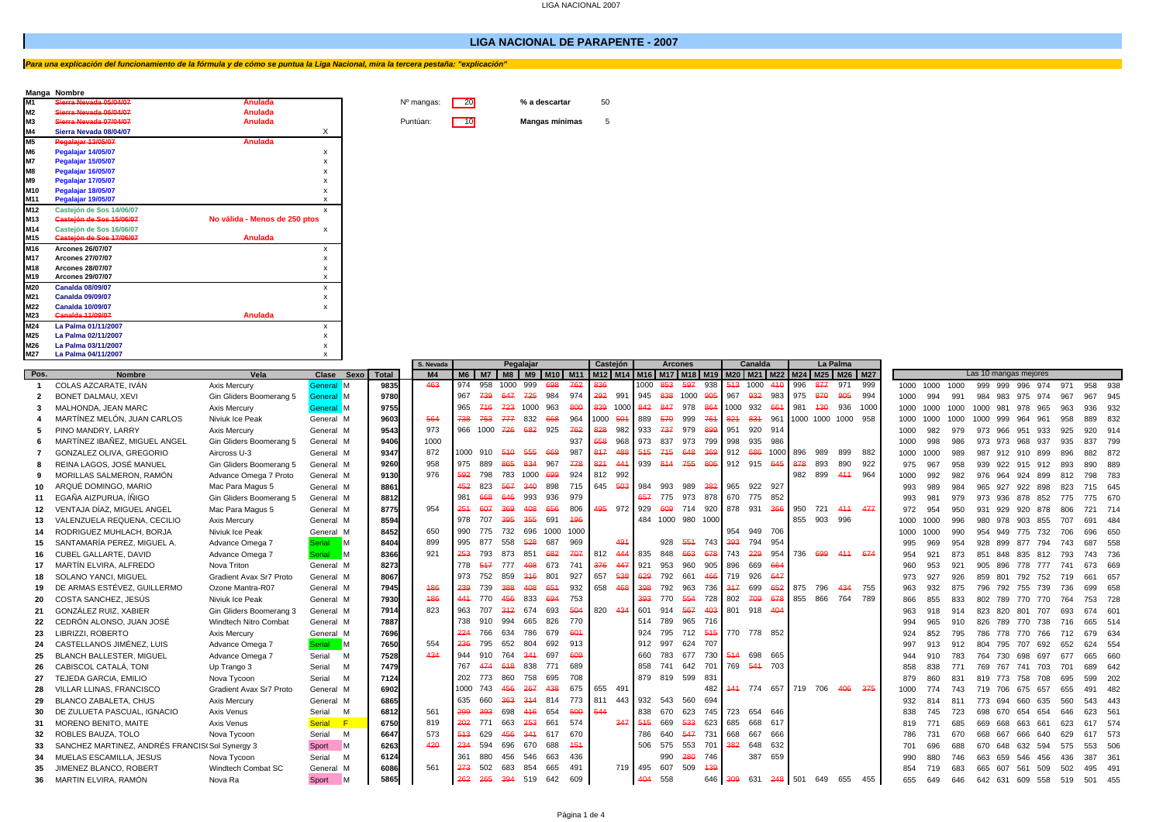### **LIGA NACIONAL DE PARAPENTE - 2007**

**N<sup>o</sup> mangas:** 20 **% a descartar** 50

**Sierra Nevada 07/04/07 Anulada** Puntúan: 10 **Mangas mínimas** 5

# *Para una explicación del funcionamiento de la fórmula y de cómo se puntua la Liga Nacional, mira la tercera pestaña: "explicación"*

## **Manga Nombre**

| M1              | Sierra Nevada 05/04/07   | Anulada                       |
|-----------------|--------------------------|-------------------------------|
| M <sub>2</sub>  | Sierra Nevada 06/04/07   | Anulada                       |
| M <sub>3</sub>  | Sierra Nevada 07/04/07   | Anulada                       |
| M4              | Sierra Nevada 08/04/07   | X                             |
| <b>M5</b>       | Pegalajar 13/05/07       | Anulada                       |
| M <sub>6</sub>  | Pegalajar 14/05/07       | x                             |
| <b>M7</b>       | Pegalajar 15/05/07       | x                             |
| M <sub>8</sub>  | Pegalajar 16/05/07       | x                             |
| <b>M9</b>       | Pegalajar 17/05/07       | x                             |
| M10             | Pegalajar 18/05/07       | x                             |
| M11             | Pegalajar 19/05/07       | x                             |
| M12             | Casteión de Sos 14/06/07 | x                             |
| M <sub>13</sub> | Castejón de Sos 15/06/07 | No válida - Menos de 250 ptos |
| M14             | Casteión de Sos 16/06/07 | x                             |
| M15             | Castejón de Sos 17/06/07 | <b>Anulada</b>                |
| M16             | <b>Arcones 26/07/07</b>  | x                             |
| M17             | <b>Arcones 27/07/07</b>  | x                             |
| M18             | <b>Arcones 28/07/07</b>  | x                             |
| M19             | <b>Arcones 29/07/07</b>  | x                             |
| M20             | <b>Canalda 08/09/07</b>  | x                             |
| M21             | <b>Canalda 09/09/07</b>  | x                             |
| M22             | <b>Canalda 10/09/07</b>  | x                             |
| M23             | <b>Ganalda 11/09/07</b>  | <b>Anulada</b>                |
| M24             | La Palma 01/11/2007      | x                             |
| M25             | La Palma 02/11/2007      | X                             |
| M26             | La Palma 03/11/2007      | x                             |
|                 |                          |                               |

| M27                      | La Palma 04/11/2007                                    |                                         | $\mathsf{x}$                     |              | Pegalajar             |      |      |          |            |            |            |             |                                                                                                                               |             |     |                          |     |             |             |            |         |                    |             |                       |             |            |          |              |                                    |            |     |                    |  |  |
|--------------------------|--------------------------------------------------------|-----------------------------------------|----------------------------------|--------------|-----------------------|------|------|----------|------------|------------|------------|-------------|-------------------------------------------------------------------------------------------------------------------------------|-------------|-----|--------------------------|-----|-------------|-------------|------------|---------|--------------------|-------------|-----------------------|-------------|------------|----------|--------------|------------------------------------|------------|-----|--------------------|--|--|
|                          |                                                        |                                         |                                  |              | S. Nevada             |      |      |          |            |            |            | Casteión    | <b>Arcones</b><br>M6   M7   M8   M9   M10   M11   M12   M14   M16   M17   M18   M19   M20   M21   M22   M24   M25   M26   M27 |             |     |                          |     | Canalda     |             |            |         | La Palma           |             | Las 10 mangas mejores |             |            |          |              |                                    |            |     |                    |  |  |
| Pos.                     | <b>Nombre</b>                                          | Vela                                    | Clase Sexo                       | <b>Total</b> | M <sub>4</sub><br>463 | 974  | 958  | 1000     | 999        | 698        | 762        |             |                                                                                                                               | 1000 853    |     | 597                      | 938 |             | 513 1000    | 410        | 996     | 877                | 999<br>971  |                       |             | 1000       |          |              |                                    |            |     |                    |  |  |
|                          | COLAS AZCARATE. IVÁN                                   | Axis Mercury                            | General M                        | 9835<br>9780 |                       | 967  | 739  | 647      | 725        | 984        | 974        | 292         | 991                                                                                                                           | 945 838     |     | 1000                     | 905 | 967         | 932         | 983        | 975     | 870                | 905<br>994  | 1000                  | 1000        |            | 999 999  |              | 996 974                            | 971        | 958 | 938                |  |  |
| $\overline{\phantom{a}}$ | BONET DALMAU, XEVI                                     | Gin Gliders Boomerang 5                 | General M                        | 9755         |                       | 965  | 716  | 723      | 1000       | 963        | 800        | 839 1000    |                                                                                                                               | 842         | 847 | 978                      | 864 | 1000 932    |             | 661        | 981     | 430                | 936<br>1000 | 1000                  | 994         | 991        |          |              | 984 983 975 974                    | 967        | 967 | 945                |  |  |
| -3                       | MALHONDA, JEAN MARC                                    | Axis Mercury                            | General M                        |              |                       | 738  | 753  | 777      | 832        | 668        | 964        | 1000 501    |                                                                                                                               |             | 570 | 999                      | 761 | 821         | 831         |            |         |                    | 958         | 1000                  | 1000        | 1000       | 1000 981 |              | 965<br>978                         | 963        |     | 936 932            |  |  |
|                          | MARTÍNEZ MELÓN. JUAN CARLOS<br>PINO MANDRY, LARRY      | Niviuk Ice Peak                         | General M                        | 9603         | 564                   | 966  | 1000 |          | 682        | 925        | 762        | 828         | 982                                                                                                                           | 889<br>933  | 737 | 979                      | 899 | 951         | 920         | 961<br>914 |         | 1000 1000 1000     |             | 1000                  | 1000        | 1000       |          | 1000 999 964 | 961                                | 958        | 889 | 832                |  |  |
|                          | MARTÍNEZ IBAÑEZ, MIGUEL ANGEL                          | Axis Mercurv                            | General M                        | 9543<br>9406 | 973<br>1000           |      |      | 726      |            |            | 937        | 658         | 968                                                                                                                           | 973 837     |     | 973 799                  |     | 998         | 935         | 986        |         |                    |             | 1000                  | 982         | 979        |          | 973 966 951  | 933                                | 925        |     | 920 914            |  |  |
|                          | GONZALEZ OLIVA, GREGORIO                               | Gin Gliders Boomerang 5<br>Aircross U-3 | General M<br>General M           | 9347         | 872                   | 1000 | 910  | 510      | 555        | 669        | 987        | 817         | 488                                                                                                                           | $545 -$     | 715 | 648                      | 369 | 912 686     |             | 1000       | 896     | 989                | 899<br>882  | 1000                  | 998<br>1000 | 986<br>989 |          | 973 973 968  | 937                                | 935<br>896 | 837 | 799<br>882 872     |  |  |
|                          | REINA LAGOS, JOSÉ MANUEL                               |                                         |                                  |              | 958                   | 975  | 889  | 865      | 834        | 967        | 778        | 821         | 441                                                                                                                           | 939 814     |     | 755                      | 806 | 912 915 645 |             |            | 378     | 893                | 922<br>890  | 1000                  |             |            |          |              | 987 912 910 899                    |            |     |                    |  |  |
|                          |                                                        | Gin Gliders Boomerang 5                 | General M                        | 9260         | 976                   | 592  | 798  | 783 1000 |            | 699        | 924        | 812         | 992                                                                                                                           |             |     |                          |     |             |             |            | 982     | 899                | 411<br>964  | 975                   | 967         | 958        |          |              | 939 922 915 912                    | 893        | 890 | 889                |  |  |
|                          | MORILLAS SALMERON, RAMÓN<br>ARQUÉ DOMINGO, MARIO       | Advance Omega 7 Proto                   | General M                        | 9130         |                       | 452  | 823  | 567      | 340        | 898        | 715        | 645         | 503                                                                                                                           | 984         | 993 | 989                      | 382 | 965         | 922 927     |            |         |                    |             | 1000                  | 992         | 982        |          |              | 976 964 924 899                    | 812        |     | 798 783            |  |  |
|                          | EGAÑA AIZPURUA. ÍÑIGO                                  | Mac Para Magus 5                        | General M                        | 8861         |                       | 981  | 668  | 646      | 993        | 936        | 979        |             |                                                                                                                               | 657         | 775 | 973                      | 878 | 670         | 775         | 852        |         |                    |             | 993                   | 989         | 984        | 965      |              | 927 922 898                        | 823        |     | 715 645            |  |  |
| 11                       |                                                        | Gin Gliders Boomerang 5                 | General M                        | 8812<br>8775 | 954                   | 254  | 607  | 369      |            |            |            |             |                                                                                                                               |             |     |                          |     | 878 931     |             |            |         |                    |             | 993                   | 981         | 979        |          |              | 973 936 878 852                    | 775        |     | 775 670            |  |  |
|                          | VENTAJA DÍAZ. MIGUEL ANGEL                             | Mac Para Magus 5                        | General M                        |              |                       | 978  | 707  | 395      | 408<br>355 | 656<br>691 | 806<br>496 | 495 972 929 |                                                                                                                               |             | 609 | 714<br>484 1000 980 1000 | 920 |             |             | 366        | 950     | 721<br>855 903 996 | 444 477     | 972                   | 954         | 950        | 931      | 929 920      | 878                                | 806        |     | 721 714            |  |  |
| 13                       | VALENZUELA REQUENA, CECILIO                            | Axis Mercury                            | General M                        | 8594         | 650                   | 990  | 775  | 732      | 696        | 1000       | 1000       |             |                                                                                                                               |             |     |                          |     | 954         | 949 706     |            |         |                    |             | 1000                  | 1000        | 996        |          |              | 980 978 903 855                    | 707        |     | 691 484            |  |  |
| 14                       | RODRIGUEZ MUHLACH, BORJA                               | Niviuk Ice Peak                         | General M                        | 8452<br>8404 | 899                   | 995  | 877  | 558      | 528        | 687        | 969        |             | 491                                                                                                                           |             | 928 | 554 743                  |     | 393         | 794         | 954        |         |                    |             | 1000                  | 1000        | 990        | 954      | 949          | 775 732                            | 706        | 696 | 650                |  |  |
|                          | SANTAMARÍA PEREZ. MIGUEL A.                            | Advance Omega 7                         | $\blacksquare$<br>Serial         | 8366         | 921                   | 253  | 793  | 873      | 851        | 682        | 707        | 812         | 444                                                                                                                           | 835         | 848 | 663                      | 678 | 743         | 229         | 954        | 736 699 |                    | 411<br>674  | 995                   | 969         | 954        | 928 899  |              | 877 794                            | 743        | 687 | 558                |  |  |
| 16                       | <b>CUBEL GALLARTE, DAVID</b><br>MARTÍN ELVIRA, ALFREDO | Advance Omega 7                         | $\blacksquare$<br>Serial         |              |                       | 778  | 517  | 777      | 408        | 673        | 741        | 376         | 447                                                                                                                           | 921         | 953 | 960                      | 905 | 896         | 669         | 664        |         |                    |             | 954                   | 921         | 873        | 851      |              | 848 835 812                        | 793        |     | 743 736            |  |  |
| 17                       |                                                        | Nova Triton<br>Gradient Avax Sr7 Proto  | General M<br>General M           | 8273         |                       | 973  | 752  | 859      | 346        | 801        | 927        | 657         | 538                                                                                                                           | 629         | 792 | 661                      | 466 | 719         | 926         | 647        |         |                    |             | 960                   | 953         | 921        | 905      |              | 896 778 777                        | 741        | 661 | 673 669<br>657     |  |  |
|                          | <b>SOLANO YANCI, MIGUEL</b>                            |                                         |                                  | 8067<br>7945 | 486                   | 239  | 739  | 388      | 408        | 651        | 932        | 658         | 468                                                                                                                           | 398         | 792 | 963                      | 736 | 317         | 699         | 652        | 875     | 796                | 434<br>755  |                       | 927         | 926        | 859      | 801          | 792 752                            | 719        |     |                    |  |  |
|                          | DE ARMAS ESTÉVEZ. GUILLERMO<br>COSTA SANCHEZ, JESÚS    | Ozone Mantra-R07<br>Niviuk Ice Peak     | General M                        | 7930         | 186                   | 441  | 770  | 456      | 833        | 694        | 753        |             |                                                                                                                               | 393         | 770 | 554                      | 728 | 802         | 709         | 678        | 855 866 |                    | 789<br>764  | 963                   | 932         | 875        | 796      |              | 792 755 739                        | 736        | 699 | 658                |  |  |
| 20                       | GONZÁLEZ RUIZ, XABIER                                  | Gin Gliders Boomerang 3                 | General M                        | 7914         | 823                   | 963  | 707  | 342      | 674        | 693        | 504        | 820 434     |                                                                                                                               | 601         | 914 | 567                      | 403 | 801 918 404 |             |            |         |                    |             | 866                   | 855         | 833<br>914 | 802      |              | 789 770 770<br>823 820 801 707     | 764        |     | 753 728<br>674 601 |  |  |
| 21                       | CEDRÓN ALONSO, JUAN JOSÉ                               | Windtech Nitro Combat                   | General M                        | 7887         |                       | 738  | 910  | 994      | 665        | 826        | 770        |             |                                                                                                                               | 514 789     |     | 965 716                  |     |             |             |            |         |                    |             | 963                   | 918         |            |          |              |                                    | 693        |     |                    |  |  |
| 22                       |                                                        |                                         | General M                        |              |                       | 224  | 766  | 634      | 786        | 679        | 601        |             |                                                                                                                               | 924         | 795 | 712                      | 515 | 770 778 852 |             |            |         |                    |             | 994                   | 965         | 910        |          |              | 826 789 770 738                    | 716        |     | 665 514            |  |  |
| 23<br>24                 | LIBRIZZI, ROBERTO<br>CASTELLANOS JIMÉNEZ, LUIS         | Axis Mercury<br>Advance Omega 7         | General M<br>$\blacksquare$      | 7696<br>7650 | 554                   | 236  | 795  | 652      | 804        | 692        | 913        |             |                                                                                                                               | 912 997     |     | 624 707                  |     |             |             |            |         |                    |             | 924<br>997            | 852<br>913  | 795<br>912 |          |              | 786 778 770 766<br>804 795 707 692 | 712<br>652 |     | 679 634<br>624 554 |  |  |
| 25                       | <b>BLANCH BALLESTER, MIGUEL</b>                        | Advance Omega 7                         | Serial<br>Serial<br>M            | 7528         | 434                   | 944  | 910  | 764      | 341        | 697        | 609        |             |                                                                                                                               | 660         | 783 | 677                      | 730 | 514 698     |             | 665        |         |                    |             | 944                   | 910         | 783        |          |              | 764 730 698 697                    | 677        | 665 | 660                |  |  |
| 26                       | CABISCOL CATALÁ, TONI                                  | Up Trango 3                             | M<br>Serial                      | 7479         |                       | 767  | 474  | 618      | 838        | 771        | 689        |             |                                                                                                                               | 858         | 741 | 642                      | 701 | 769 544     |             | 703        |         |                    |             | 858                   | 838         |            |          |              | 769 767 741 703                    | 701        | 689 | 642                |  |  |
| 27                       | <b>TEJEDA GARCIA, EMILIO</b>                           | Nova Tycoon                             | Serial<br>M                      | 7124         |                       | 202  | 773  | 860      | 758        | 695        | 708        |             |                                                                                                                               | 879 819 599 |     |                          | 831 |             |             |            |         |                    |             | 879                   | 860         | 831        |          |              | 819 773 758 708                    | 695        | 599 | 202                |  |  |
| 28                       | <b>VILLAR LLINAS, FRANCISCO</b>                        | Gradient Avax Sr7 Proto                 | General M                        | 6902         |                       | 1000 | 743  | 456      | 267        | 438        | 675        | 655 491     |                                                                                                                               |             |     |                          | 482 |             | 444 774 657 |            | 719 706 |                    | 406<br>375  | 1000                  | 774         | 743        |          |              |                                    | 655        | 491 | 482                |  |  |
| 29                       | <b>BLANCO ZABALETA, CHUS</b>                           | Axis Mercury                            | General M                        | 6865         |                       | 635  | 660  | 363      | 314        | 814        | 773        | 811         | 443                                                                                                                           | 932 543     |     | 560                      | 694 |             |             |            |         |                    |             | 932                   |             | 811        |          | 773 694      | 719 706 675 657<br>660<br>635      | 560        |     | 543 443            |  |  |
| 30                       | DE ZULUETA PASCUAL. IGNACIO                            | Axis Venus                              | Serial<br>M                      | 6812         | 561                   | 299  | 393  | 698      | 416        | 654        | 500        | 544         |                                                                                                                               | 838         | 670 | 623                      | 745 | 723         | 654 646     |            |         |                    |             | 838                   | 745         | 723        | 698      | 670 654      | 654                                | 646        |     | 623 561            |  |  |
| 31                       | <b>MORENO BENITO, MAITE</b>                            | Axis Venus                              | $\blacktriangleleft$ F<br>Serial | 6750         | 819                   | 202  | 771  | 663      | 253        | 661        | 574        |             | 347                                                                                                                           | 545         | 669 | 533                      | 623 | 685         | 668         | 617        |         |                    |             |                       | 771         | 685        |          |              | 669 668 663 661                    | 623        |     | 617 574            |  |  |
| 32                       | ROBLES BAUZA, TOLO                                     | Nova Tycoon                             | Serial<br>M                      | 6647         | 573                   | 543  | 629  | 456      | 341        | 617        | 670        |             |                                                                                                                               | 786         | 640 | 547                      | 731 | 668         | 667         | 666        |         |                    |             | 786                   | 731         | 670        | 668 667  |              | 666<br>640                         | 629        |     | 617 573            |  |  |
| 33                       | SANCHEZ MARTINEZ, ANDRÉS FRANCIS(Sol Synergy 3         |                                         | M<br>Sport                       | 6263         | 420                   | 234  | 594  | 696      | 670        | 688        | 454        |             |                                                                                                                               | 506         | 575 | 553                      | 701 | 382 648     |             | 632        |         |                    |             | 701                   | 696         | 688        |          |              | 670 648 632 594                    | 575        |     | 553 506            |  |  |
| 34                       | MUELAS ESCAMILLA, JESUS                                | Nova Tycoon                             | Serial<br>M                      | 6124         |                       | 361  | 880  | 456      | 546        | 663        | 436        |             |                                                                                                                               |             | 990 | 280                      | 746 |             | 387         | 659        |         |                    |             | 990                   | 880         | 746        |          | 663 659      | 546<br>456                         | 436        | 387 | - 361              |  |  |
| 35                       | JIMENEZ BLANCO, ROBERT                                 | Windtech Combat SC                      | General M                        | 6086         | 561                   | 273  | 502  | 683      | 854        | 665        | 491        |             | 719 495                                                                                                                       |             | 607 | 509                      | 439 |             |             |            |         |                    |             | 854                   | 719         | 683        |          | 665 607      | 561<br>509                         | 502        |     | 495 491            |  |  |
|                          | 36 MARTIN ELVIRA, RAMÓN                                | Nova Ra                                 | Sport<br>M                       | 5865         |                       | 262  | 265  | 394 519  |            | 642        | 609        |             |                                                                                                                               | 404         | 558 |                          | 646 | 309         | 631         | 248        | 501     | 649                | 655<br>455  | 655                   | 649         | 646        |          | 642 631 609  | 558                                | 519        |     | 501 455            |  |  |
|                          |                                                        |                                         |                                  |              |                       |      |      |          |            |            |            |             |                                                                                                                               |             |     |                          |     |             |             |            |         |                    |             |                       |             |            |          |              |                                    |            |     |                    |  |  |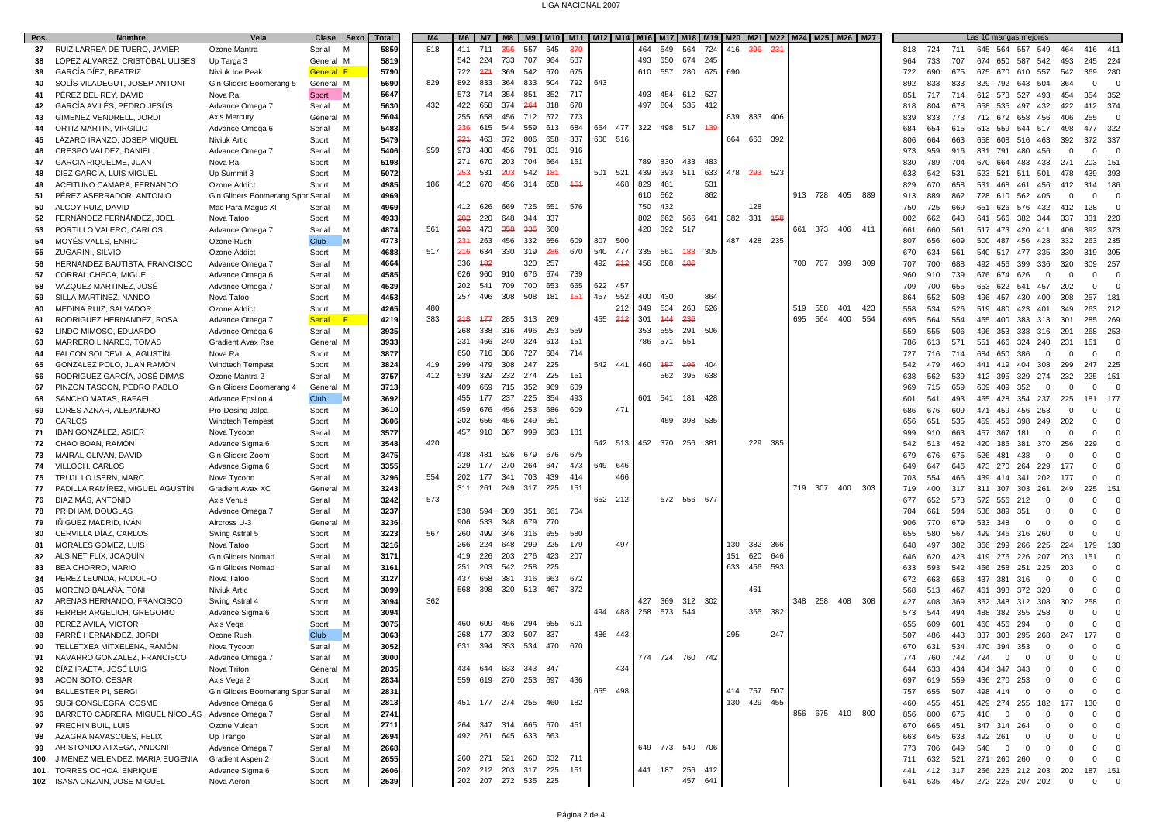#### LIGA NACIONAL 2007

| Pos.     | <b>Nombre</b>                                       | Vela                                      | Clase<br>Sexo         | <b>Total</b> | M <sub>4</sub> |     |     |            |                         |            |         |     |             |             |                 |     |     |             |     |         | M6   M7   M8   M9   M10   M11   M12   M14   M16   M17   M18   M19   M20   M21   M22   M24   M25   M26   M27 |         |            |            | Las 10 mangas mejores               |                                        |                   |                    |                 |
|----------|-----------------------------------------------------|-------------------------------------------|-----------------------|--------------|----------------|-----|-----|------------|-------------------------|------------|---------|-----|-------------|-------------|-----------------|-----|-----|-------------|-----|---------|-------------------------------------------------------------------------------------------------------------|---------|------------|------------|-------------------------------------|----------------------------------------|-------------------|--------------------|-----------------|
| 37       | RUIZ LARREA DE TUERO, JAVIER                        | Ozone Mantra                              | Serial<br>M           | 5859         | 818            | 411 | 711 | 356<br>557 | 645                     | <b>376</b> |         |     | 464         | 549         | 564             | 724 | 416 | 396<br>-231 |     |         |                                                                                                             | 818 724 |            | 711        | 645 564 557 549                     |                                        | 464               | 416 411            |                 |
| 38       | LÓPEZ ÁLVAREZ, CRISTÓBAL ULISES                     | Up Targa 3                                | General M             | 5819         |                | 542 | 224 | 733<br>707 | 964                     | 587        |         |     | 493         | 650         | 674             | 245 |     |             |     |         |                                                                                                             | 964     | 733        | 707        | 674 650<br>587                      | 542                                    | 493               | 245                | 224             |
| 39       | GARCÍA DÍEZ, BEATRIZ                                | Niviuk Ice Peak                           | <b>General F</b>      | 5790         |                | 722 | 271 | 369<br>542 | 670                     | 675        |         |     | 610 557     |             | 280             | 675 | 690 |             |     |         |                                                                                                             | 722     | 690        | 675        | 675 670                             | 610 557                                | 542               | 369                | 280             |
| 40       | SOLIS VILADEGUT, JOSEP ANTONI                       | Gin Gliders Boomerang 5                   | General M             | 5690         | 829            | 892 | 833 | 364<br>833 | 504                     | 792        | 643     |     |             |             |                 |     |     |             |     |         |                                                                                                             | 892     | 833        | 833        | 829 792<br>643                      | 504                                    | 364               | 0                  | $\overline{0}$  |
| 41       | PÉREZ DEL REY, DAVID                                | Nova Ra                                   | – M<br>Sport          | 5647         |                | 573 | 714 | 354<br>851 | 352                     | 717        |         |     | 493         | 454         | 612 527         |     |     |             |     |         |                                                                                                             | 851     | 717        | 714        | 612 573 527                         | 493                                    | 454               | 354                | 352             |
| 42       | GARCÍA AVILÉS, PEDRO JESÚS                          | Advance Omega 7                           | Serial<br>M           | 5630         | 432            | 422 | 658 | 374<br>264 | 818                     | 678        |         |     | 497         | 804         | 535             | 412 |     |             |     |         |                                                                                                             | 818     | 804        | 678        | 658 535                             | 497 432                                | 422               | 412 374            |                 |
| 43       | GIMENEZ VENDRELL, JORDI                             | Axis Mercury                              | General M             | 5604         |                | 255 | 658 | 712<br>456 | 672                     | 773        |         |     |             |             |                 |     |     | 839 833 406 |     |         |                                                                                                             | 839     | 833        | 773        | 712 672 658 456                     |                                        | 406               | 255                | $\Omega$        |
| 44       | ORTIZ MARTIN, VIRGILIO                              | Advance Omega 6                           | Serial<br>M           | 5483         |                | 236 | 615 | 544<br>559 | 613                     | 684        | 654     | 477 |             |             | 322 498 517 439 |     |     |             |     |         |                                                                                                             | 684     | 654        | 615        | 613 559                             | 544 517                                | 498               | 477                | 322             |
| 45       | LÁZARO IRANZO, JOSEP MIQUEL                         | Niviuk Artic                              | Sport<br>M            | 5479         |                | 221 | 463 | 372<br>806 | 658                     | 337        | 608 516 |     |             |             |                 |     |     | 664 663 392 |     |         |                                                                                                             | 806     | 664        | 663        | 658 608                             | 516 463                                | 392               | 372 337            |                 |
| 46       | CRESPO VALDEZ, DANIEI                               | Advance Omega 7                           | Serial<br>м           | 5406         | 959            | 973 | 480 | 456<br>791 | 831                     | 916        |         |     |             |             |                 |     |     |             |     |         |                                                                                                             | 973     | 959        | 916        | 480<br>831<br>791                   | 456                                    | $^{\circ}$        | $\mathbf 0$        | $\Omega$        |
| 47       | <b>GARCIA RIQUELME, JUAN</b>                        | Nova Ra                                   | Sport<br>M            | 5198         |                | 271 | 670 | 203<br>704 | 664                     | 151        |         |     | 789 830     |             | 433             | 483 |     |             |     |         |                                                                                                             | 830     | 789        | 704        | 670<br>664<br>483                   | 433                                    | 271               | 203                | 151             |
| 48       | DIEZ GARCIA, LUIS MIGUEL                            | Up Summit 3                               | Sport<br><b>M</b>     | 5072         |                | 253 | 531 | 542<br>203 | 481                     |            | 501 521 |     | 439         | 393         | 511             | 633 |     | 478 293 523 |     |         |                                                                                                             | 633     | 542        | 531        | 523 521                             | 511 501                                | 478               | 439                | 393             |
| 49       | ACEITUNO CÁMARA, FERNANDO                           | Ozone Addict                              | Sport<br><sup>N</sup> | 4985         | 186            | 412 | 670 | 456<br>314 | 658                     | 454        |         | 468 | 829         | 461         |                 | 531 |     |             |     |         |                                                                                                             | 829     | 670        | 658        | 531 468<br>461                      | 456                                    | 412               | 314                | 186             |
| 51       | PÉREZ ASERRADOR, ANTONIO                            | Gin Gliders Boomerang Spor Serial         | <b>M</b>              | 4969         |                |     |     |            |                         |            |         |     | 610 562     |             |                 | 862 |     |             |     | 913 728 | 405<br>889                                                                                                  | 913     | 889        | 862        | 728 610<br>562                      | 405                                    | $\Omega$          | $\mathbf 0$        | $\Omega$        |
| 50       | ALCOY RUIZ, DAVID                                   | Mac Para Magus XI                         | Serial<br><b>M</b>    | 4969         |                | 412 | 626 | 669<br>725 | 651                     | 576        |         |     | 750         | 432         |                 |     |     | 128         |     |         |                                                                                                             | 750     | 725        | 669        | 651 626 576 432                     |                                        | 412               | 128                | $\overline{0}$  |
| 52       | FERNÁNDEZ FERNÁNDEZ, JOEL                           | Nova Tatoo                                | Sport<br><b>M</b>     | 493          |                | 202 | 220 | 648<br>344 | 337                     |            |         |     | 802         | 662         | 566 641         |     | 382 | 331<br>458  |     |         |                                                                                                             | 802     | 662        | 648        | 641 566                             | 382 344                                | 337               | 331                | 220             |
| 53       | PORTILLO VALERO, CARLOS                             | Advance Omega 7                           | Serial<br><b>M</b>    | 4874         | 561            | 202 | 473 | 358<br>336 | 660                     |            |         |     |             | 420 392 517 |                 |     |     |             | 661 | 373     | 411<br>406                                                                                                  | 661     | 660        | 561        | 517 473 420 411                     |                                        | 406               | 392                | 373             |
| 54       | MOYÉS VALLS, ENRIC                                  | Ozone Rush                                | Club<br><b>N</b>      | 4773         |                | 231 | 263 | 332<br>456 | 656                     | 609        | 807 500 |     |             |             |                 |     |     | 487 428 235 |     |         |                                                                                                             | 807     | 656        | 609        | 500<br>487                          | 456 428                                | 332               | 263                | 235             |
| 55       | ZUGARINI, SILVIO                                    | Ozone Addict                              | Sport<br>м            | 4688         | 517            | 246 | 634 | 330<br>319 | 286                     | 670        | 540     | 477 | 335 561     |             | 483 305         |     |     |             |     |         |                                                                                                             | 670     | 634        | 561        | 540 517 477 335                     |                                        | 330               | 319                | 305             |
| 56       | HERNANDEZ BAUTISTA, FRANCISCO                       | Advance Omega 7                           | Serial<br>м           | 4664         |                | 336 | 482 |            | 320<br>257              |            | 492     | 212 | 456 688     |             | 486             |     |     |             |     | 700 707 | 399<br>309                                                                                                  | 707     | 700        | 688        | 492 456                             | 399 336                                | 320               | 309                | 257             |
| 57       | CORRAL CHECA, MIGUEL                                | Advance Omega 6                           | Serial<br><b>M</b>    | 4585         |                | 626 | 960 | 676<br>910 | 674                     | 739        |         |     |             |             |                 |     |     |             |     |         |                                                                                                             | 960     | 910        | 739        | 676 674<br>626                      | $\Omega$                               | $^{\circ}$        | $\mathbf 0$        | $\Omega$        |
| 58       | VAZQUEZ MARTINEZ, JOSÉ                              | Advance Omega 7                           | Serial<br>м           | 4539         |                | 202 | 541 | 709<br>700 | 653                     | 655        | 622 457 |     |             |             |                 |     |     |             |     |         |                                                                                                             | 709     | 700        | 655        | 653 622                             | 541 457                                | 202               | $\mathbf 0$        | $\Omega$        |
| 59       | SILLA MARTÍNEZ. NANDO                               | Nova Tatoo                                | Sport<br><b>M</b>     | 4453         |                | 257 | 496 | 308<br>508 | 181                     | 454        | 457     | 552 | 400         | 430         |                 | 864 |     |             |     |         |                                                                                                             | 864     | 552        | 508        | 496 457                             | 430 400                                | 308               | 257                | 181             |
| 60       | MEDINA RUIZ, SALVADOR                               | Ozone Addict                              | Sport<br>M            | 4265         | 480            |     |     |            |                         |            |         | 212 | 349         | 534         | 263             | 526 |     |             | 519 | 558     | 401<br>423                                                                                                  | 558     | 534        | 526        | 480<br>423<br>519                   | 401                                    | 349               | 263                | 212             |
|          | RODRIGUEZ HERNANDEZ, ROSA                           | Advance Omega 7                           | F<br><b>Serial</b>    | 4219         | 383            | 248 | 477 | 285        | 313 269                 |            | 455 212 |     | 301         | -444        | 236             |     |     |             | 695 | 564     | 554<br>400                                                                                                  | 695     | 564        | 554        | 455 400                             | 383 313                                | 301               | 285                | 269             |
| 61       | LINDO MIMOSO, EDUARDO                               | Advance Omega 6                           | M                     | 3935         |                | 268 | 338 | 316<br>496 | 253                     | 559        |         |     | 353         | 555         | 291             | 506 |     |             |     |         |                                                                                                             |         |            | 506        |                                     |                                        |                   | 268                | 253             |
| 62       |                                                     | <b>Gradient Avax Rse</b>                  | Serial                |              |                | 231 | 466 | 324<br>240 | 613                     | 151        |         |     | 786         | 571         | 551             |     |     |             |     |         |                                                                                                             | 559     | 555        |            | 496 353 338 316                     |                                        | 291               |                    | $\Omega$        |
| 63<br>64 | MARRERO LINARES, TOMÁS<br>FALCON SOLDEVILA, AGUSTIN | Nova Ra                                   | General M<br>M        | 3933<br>3877 |                | 650 | 716 | 727<br>386 | 684                     | 714        |         |     |             |             |                 |     |     |             |     |         |                                                                                                             | 786     | 613<br>716 | 571<br>714 | 551<br>466<br>324<br>684 650<br>386 | 240                                    | 231<br>$^{\circ}$ | 151<br>$\mathbf 0$ | $\Omega$        |
|          | GONZALEZ POLO, JUAN RAMÓN                           |                                           | Sport<br><b>M</b>     | 3824         | 419            | 299 | 479 | 308<br>247 | 225                     |            | 542 441 |     | 460 457     |             | 496             | 404 |     |             |     |         |                                                                                                             | 727     | 479        | 460        |                                     | $\mathbf{0}$                           |                   |                    |                 |
| 65       |                                                     | <b>Windtech Tempest</b><br>Ozone Mantra 2 | Sport<br><sub>N</sub> |              | 412            | 539 | 329 | 232<br>274 | 225                     | 151        |         |     |             | 562         | 395             | 638 |     |             |     |         |                                                                                                             | 542     |            | 539        | 441 419 404 308                     |                                        | 299               | 247<br>225         | 225<br>151      |
| 66       | RODRIGUEZ GARCÍA, JOSÉ DIMAS                        |                                           | Serial                | 3757<br>3713 |                | 409 | 659 | 715<br>352 | 969                     | 609        |         |     |             |             |                 |     |     |             |     |         |                                                                                                             | 638     | 562        |            | 412 395 329 274                     |                                        | 232               |                    |                 |
| 67       | PINZON TASCON, PEDRO PABLO                          | Gin Gliders Boomerang 4                   | General M             | 3692         |                | 455 | 177 | 225<br>237 | 354                     | 493        |         |     |             |             | 601 541 181 428 |     |     |             |     |         |                                                                                                             | 969     | 715        | 659        | 609<br>409<br>352                   | $\Omega$                               | $\mathbf 0$       | $\Omega$           | $\Omega$        |
| 68       | SANCHO MATAS, RAFAEL                                | Advance Epsilon 4                         | Club<br>۱N            |              |                | 459 | 676 | 456<br>253 | 686                     |            |         | 471 |             |             |                 |     |     |             |     |         |                                                                                                             | 601     | 541        | 493        | 455<br>428                          | 354 237                                | 225               | 181                | 177<br>$\Omega$ |
| 69       | LORES AZNAR, ALEJANDRO                              | Pro-Desing Jalpa                          | Sport<br>м            | 3610         |                |     |     |            |                         | 609        |         |     |             |             |                 |     |     |             |     |         |                                                                                                             | 686     | 676        | 609        | 471 459<br>456                      | 253                                    | 0                 | $\Omega$           |                 |
| 70       | CARLOS                                              | <b>Windtech Tempest</b>                   | Sport<br><b>M</b>     | 3606         |                | 202 | 656 | 456<br>249 | 651                     |            |         |     |             | 459         | 398 535         |     |     |             |     |         |                                                                                                             | 656     | 651        | 535        | 459 456<br>398                      | 249                                    | 202               | $\Omega$           | $\Omega$        |
| 71       | IBAN GONZÁLEZ, ASIER                                | Nova Tycoon                               | Serial<br>м           | 3577         |                | 457 | 910 | 999<br>367 | 663                     | 181        |         |     |             |             |                 |     |     |             |     |         |                                                                                                             | 999     | 910        | 663        | 457<br>367<br>181                   | $\mathbf 0$                            | $^{\circ}$        | $\mathbf 0$        | $\Omega$        |
| 72       | CHAO BOAN, RAMÓN                                    | Advance Sigma 6                           | Sport<br><b>M</b>     | 3548         | 420            |     |     |            |                         |            | 542 513 |     | 452 370     |             | 256 381         |     |     | 229 385     |     |         |                                                                                                             | 542     | 513        | 452        | 420<br>385<br>381                   | 370                                    | 256               | 229                | $\Omega$        |
| 73       | MAIRAL OLIVAN, DAVID                                | Gin Gliders Zoom                          | Sport<br><sup>N</sup> | 3475         |                | 438 | 481 | 526<br>679 | 676                     | 675        |         |     |             |             |                 |     |     |             |     |         |                                                                                                             | 679     | 676        | 675        | 526 481<br>438                      | $\Omega$                               | $\Omega$          | $\Omega$           | $\Omega$        |
| 74       | VILLOCH, CARLOS                                     | Advance Sigma 6                           | Sport<br><sup>N</sup> | 3355         |                | 229 | 177 | 270<br>264 | 647                     | 473        | 649 646 |     |             |             |                 |     |     |             |     |         |                                                                                                             | 649     | 647        | 646        | 473 270<br>264                      | 229                                    | 177               | $\Omega$           | $\Omega$        |
| 75       | TRUJILLO ISERN, MARC                                | Nova Tycoon                               | Serial<br>M           | 3296         | 554            | 202 | 177 | 341 703    | 439                     | 414        |         | 466 |             |             |                 |     |     |             |     |         |                                                                                                             | 703     | 554        | 466        | 439 414<br>341                      | 202                                    | 177               | $\Omega$           | $\Omega$        |
| 77       | PADILLA RAMÍREZ, MIGUEL AGUSTÍN                     | Gradient Avax XC                          | General M             | 3243         |                | 311 |     |            | 261 249 317 225         | 151        |         |     |             |             |                 |     |     |             |     | 719 307 | 400<br>303                                                                                                  | 719     | 400        | 317        | 311 307<br>303                      | 261                                    | 249               | 225                | 151             |
| 76       | DIAZ MÁS, ANTONIO                                   | Axis Venus                                | Serial<br>M           | 3242         | 573            |     |     |            |                         |            | 652 212 |     |             |             | 572 556 677     |     |     |             |     |         |                                                                                                             | 677     | 652        | 573        | 572 556<br>212                      | $\Omega$                               | $\Omega$          | $\Omega$           | $\Omega$        |
| 78       | PRIDHAM, DOUGLAS                                    | Advance Omega 7                           | Serial<br>M           | 3237         |                | 538 | 594 | 389<br>351 | 661                     | 704        |         |     |             |             |                 |     |     |             |     |         |                                                                                                             | 704     | 661        | 594        | 538 389<br>351                      | $\mathbf 0$                            | $^{\circ}$        | $\mathbf 0$        | $\Omega$        |
| 79       | IÑIGUEZ MADRID, IVÂN                                | Aircross U-3                              | General M             | 3236         |                | 906 | 533 | 348<br>679 | 770                     |            |         |     |             |             |                 |     |     |             |     |         |                                                                                                             | 906     | 770        | 679        | 533<br>348                          | $\mathbf 0$<br>$\Omega$                | $\Omega$          | $\Omega$           | $\Omega$        |
| 80       | CERVILLA DÍAZ, CARLOS                               | Swing Astral 5                            | Sport<br>М            | 3223         | 567            | 260 | 499 | 346<br>316 | 655                     | 580        |         |     |             |             |                 |     |     |             |     |         |                                                                                                             | 655     | 580        | 567        | 499 346 316 260                     |                                        | $\Omega$          | $\mathbf 0$        |                 |
| 81       | <b>MORALES GOMEZ, LUIS</b>                          | Nova Tatoo                                | Sport<br>M            | 3216         |                | 266 | 224 | 299<br>648 | 225                     | 179        |         | 497 |             |             |                 |     | 130 | 382<br>366  |     |         |                                                                                                             | 648     | 497        | 382        | 366 299<br>266                      | 225                                    | 224               | 179                | 130             |
| 82       | ALSINET FLIX, JOAQUÍN                               | <b>Gin Gliders Nomad</b>                  | Serial<br>м           | 3171         |                | 419 | 226 | 203<br>276 | 423                     | 207        |         |     |             |             |                 |     | 151 | 620<br>646  |     |         |                                                                                                             | 646     | 620        | 423        | 419 276<br>226                      | 207                                    | 203               | 151                | $\Omega$        |
| 83       | <b>BEA CHORRO, MARIO</b>                            | <b>Gin Gliders Nomad</b>                  | Serial<br>м           | 3161         |                | 251 | 203 | 542<br>258 | 225                     |            |         |     |             |             |                 |     | 633 | 593<br>456  |     |         |                                                                                                             | 633     | 593        | 542        | 456 258<br>251                      | 225                                    | 203               | $\Omega$           | $\Omega$        |
| 84       | PEREZ LEUNDA, RODOLFO                               | Nova Tatoo                                | Sport<br><sup>N</sup> | 3127         |                | 437 | 658 | 381<br>316 | 663                     | 672        |         |     |             |             |                 |     |     |             |     |         |                                                                                                             | 672     | 663        | 658        | 437 381<br>316                      | $\overline{0}$                         | $\overline{0}$    | $\Omega$           | $\Omega$        |
| 85       | MORENO BALAÑA, TON                                  | Niviuk Artic                              | Sport<br><sup>N</sup> | 3099         |                | 568 | 398 | 320<br>513 | 467                     | 372        |         |     |             |             |                 |     |     | 461         |     |         |                                                                                                             | 568     | 513        | 467        | 461<br>398<br>372                   | 320                                    | $\overline{0}$    | 0                  | $\Omega$        |
| 87       | ARENAS HERNANDO, FRANCISCO                          | Swing Astral 4                            | M<br>Sport            | 3094         | 362            |     |     |            |                         |            |         |     |             | 427 369     | 312 302         |     |     |             |     | 348 258 | 408<br>308                                                                                                  | 427     | 408        | 369        | 362 348                             | 312 308                                | 302               | 258                | $\Omega$        |
| 86       | FERRER ARGELICH, GREGORIO                           | Advance Sigma 6                           | Sport<br>м            | 3094         |                |     |     |            |                         |            | 494 488 |     | 258 573 544 |             |                 |     |     | 355 382     |     |         |                                                                                                             | 573     | 544        | 494        | 488 382                             | 355 258                                | $\Omega$          | $\Omega$           | $\Omega$        |
| 88       | PEREZ AVILA, VICTOR                                 | Axis Vega                                 | Sport<br><b>M</b>     | 3075         |                | 460 | 609 | 456<br>294 | 655                     | 601        |         |     |             |             |                 |     |     |             |     |         |                                                                                                             | 655     | 609        | 601        | 460 456<br>294                      | $\Omega$                               | $\Omega$          | $\Omega$           | $\Omega$        |
| 89       | FARRÉ HERNANDEZ, JORDI                              | Ozone Rush                                | Club<br><b>M</b>      | 3063         |                | 268 |     |            | 177 303 507 337         |            | 486 443 |     |             |             |                 |     | 295 | 247         |     |         |                                                                                                             | 507     | 486        | 443        | 337 303 295 268 247                 |                                        |                   | 177                | $\Omega$        |
| 90       | TELLETXEA MITXELENA, RAMÓN                          | Nova Tycoon                               | Serial<br>M           | 3052         |                | 631 |     |            | 394 353 534 470         | 670        |         |     |             |             |                 |     |     |             |     |         |                                                                                                             | 670     | 631        | 534        | 470 394 353                         | $\overline{0}$                         | $\overline{0}$    | $\Omega$           |                 |
| 91       | NAVARRO GONZALEZ, FRANCISCO                         | Advance Omega 7                           | M<br>Serial           | 3000         |                |     |     |            |                         |            |         |     |             |             | 774 724 760 742 |     |     |             |     |         |                                                                                                             | 774     | 760        | 742        | 724<br>$\mathbf 0$                  | $\mathbf 0$<br>0                       | $^{\circ}$        | $\mathbf 0$        | $\Omega$        |
| 92       | DÍAZ IRAETA, JOSÉ LUIS                              | Nova Triton                               | General M             | 2835         |                |     |     |            | 434 644 633 343 347     |            |         | 434 |             |             |                 |     |     |             |     |         |                                                                                                             | 644     | 633        | 434        | 434<br>347<br>343                   |                                        | $\Omega$          | 0                  | $^{\circ}$      |
| 93       | ACON SOTO, CESAR                                    | Axis Vega 2                               | Sport<br>м            | 2834         |                | 559 |     |            | 619 270 253 697 436     |            |         |     |             |             |                 |     |     |             |     |         |                                                                                                             | 697     | 619        | 559        | 436 270<br>253                      | 0                                      | $\mathbf 0$       | $\mathbf{0}$       | $\mathbf 0$     |
| 94       | <b>BALLESTER PI, SERGI</b>                          | Gin Gliders Boomerang Spor Serial         | М                     | 2831         |                |     |     |            |                         |            | 655 498 |     |             |             |                 |     |     | 414 757 507 |     |         |                                                                                                             | 757     | 655        | 507        | 498 414                             | $\overline{\mathbf{0}}$<br>$\mathbf 0$ | $\mathbf 0$       | $\mathbf 0$        | $\mathbf 0$     |
| 95       | SUSI CONSUEGRA, COSME                               | Advance Omega 6                           | Serial<br>м           | 2813         |                |     |     |            | 451 177 274 255 460 182 |            |         |     |             |             |                 |     |     | 130 429 455 |     |         |                                                                                                             | 460     | 455        | 451        | 429 274 255 182                     |                                        | 177               | 130                | $\overline{0}$  |
| 96       | BARRETO CABRERA, MIGUEL NICOLÁS                     | Advance Omega 7                           | Serial<br>М           | 2741         |                |     |     |            |                         |            |         |     |             |             |                 |     |     |             |     |         | 856 675 410 800                                                                                             | 856     | 800        | 675        | 410<br>$\mathbf 0$                  | 0<br>0                                 | 0                 | 0                  | $\mathbf 0$     |
| 97       | FRECHIN BUIL, LUIS                                  | Ozone Vulcan                              | Sport<br>м            | 2711         |                |     |     |            | 264 347 314 665 670 451 |            |         |     |             |             |                 |     |     |             |     |         |                                                                                                             | 670     | 665        | 451        | 347 314 264                         | 0                                      | $\mathbf 0$       | $\mathbf 0$        | $^{\circ}$      |
| 98       | AZAGRA NAVASCUES, FELIX                             | Up Trango                                 | Serial<br>М           | 2694         |                |     |     |            | 492 261 645 633 663     |            |         |     |             |             |                 |     |     |             |     |         |                                                                                                             | 663     | 645        | 633        | 492 261                             | $\overline{\mathbf{0}}$<br>$\mathbf 0$ | $^{\circ}$        | $\mathbf 0$        | $\overline{0}$  |
| 99       | ARISTONDO ATXEGA, ANDONI                            | Advance Omega 7                           | Serial<br>м           | 2668         |                |     |     |            |                         |            |         |     |             |             | 649 773 540 706 |     |     |             |     |         |                                                                                                             | 773     | 706        | 649        | 540<br>$\overline{0}$               | $\mathbf{0}$<br>$\mathbf 0$            | $^{\circ}$        | $\mathbf 0$        | $^{\circ}$      |
| 100      | JIMENEZ MELENDEZ, MARIA EUGENIA                     | Gradient Aspen 2                          | Sport<br>м            | 2655         |                |     |     |            | 260 271 521 260 632 711 |            |         |     |             |             |                 |     |     |             |     |         |                                                                                                             | 711     | 632        | 521        | 271 260 260                         | - 0                                    | 0                 | $\mathbf{0}$       | $\overline{0}$  |
|          | 101 TORRES OCHOA, ENRIQUE                           | Advance Sigma 6                           | Sport<br>M            | 2606         |                |     |     |            | 202 212 203 317 225     | 151        |         |     |             |             | 441 187 256 412 |     |     |             |     |         |                                                                                                             | 441     |            |            | 412 317 256 225 212 203 202         |                                        |                   | 187 151            |                 |
|          | 102 ISASA ONZAIN, JOSE MIGUEL                       | Nova Aeron                                | M<br>Sport            | 2539         |                |     |     |            | 202 207 272 535 225     |            |         |     |             |             | 457 641         |     |     |             |     |         |                                                                                                             |         |            |            | 641 535 457 272 225 207 202 0       |                                        |                   | $0\qquad 0$        |                 |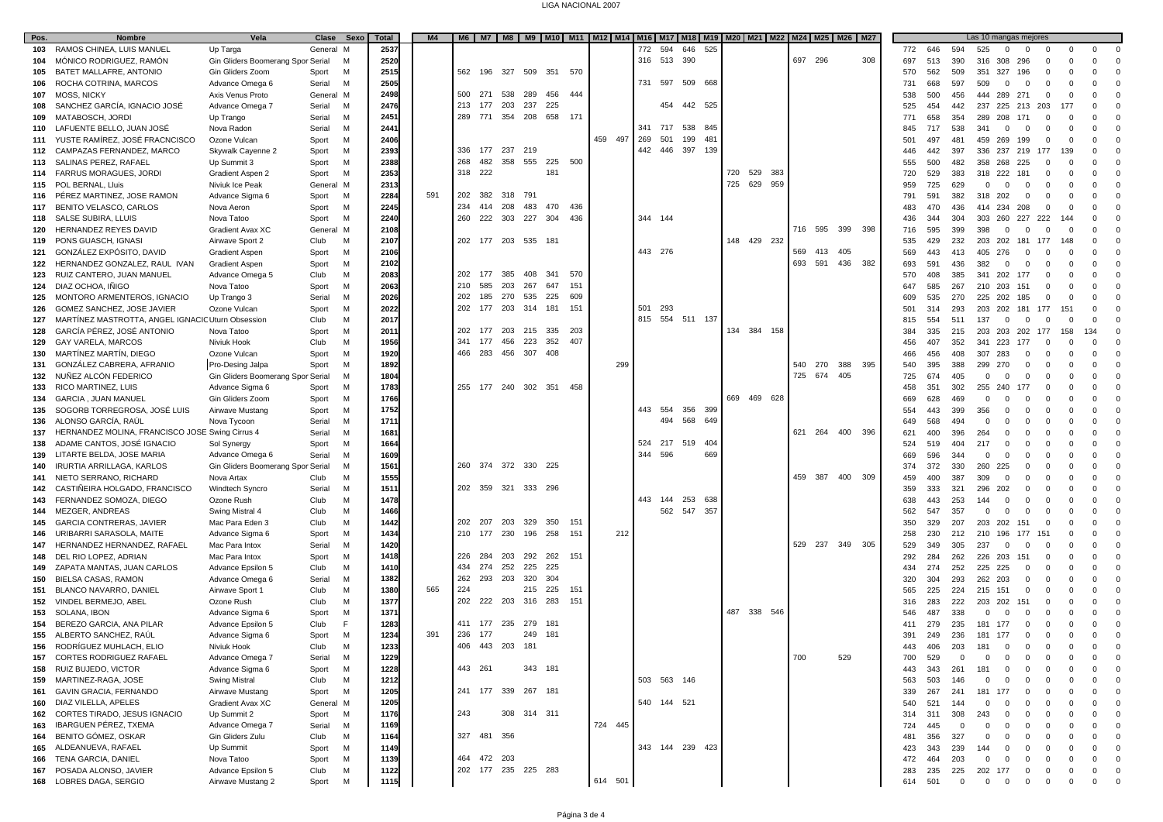#### LIGA NACIONAL 2007

| Pos. | <b>Nombre</b>                                     | Vela                              | Clase Sexo  | Total | M4  |             |         |                     |            | M6   M7   M8   M9   M10   M11   M12   M14   M16   M17   M18   M19   M20   M21   M22   M24   M25   M26   M27 |     |         |                 |         |     |             |     |            |     |     |            |              | Las 10 mangas mejores                              |                |                |                                  |
|------|---------------------------------------------------|-----------------------------------|-------------|-------|-----|-------------|---------|---------------------|------------|-------------------------------------------------------------------------------------------------------------|-----|---------|-----------------|---------|-----|-------------|-----|------------|-----|-----|------------|--------------|----------------------------------------------------|----------------|----------------|----------------------------------|
| 103  | RAMOS CHINEA, LUIS MANUEL                         | Up Targa                          | General M   | 2537  |     |             |         |                     |            |                                                                                                             | 772 | 594     | 646             | 525     |     |             |     |            |     |     | 772<br>646 | 594<br>525   | $\mathbf 0$<br>$\mathbf 0$                         | $\mathbf 0$    | $\mathbf 0$    | $\mathbf 0$<br>$^{\circ}$        |
| 104  | MÓNICO RODRIGUEZ, RAMÓN                           | Gin Gliders Boomerang Spor Serial | M           | 2520  |     |             |         |                     |            |                                                                                                             |     |         | 316 513 390     |         |     |             |     | 697 296    |     | 308 | 697<br>513 | 316<br>390   | 308<br>296                                         |                | $\Omega$       | $\mathbf 0$<br>$\mathbf 0$       |
| 105  | BATET MALLAFRE, ANTONIO                           | Gin Gliders Zoom                  | M<br>Sport  | 2515  |     | 562<br>196  | 327     | 509<br>351          | 570        |                                                                                                             |     |         |                 |         |     |             |     |            |     |     | 570<br>562 | 351<br>509   | 327<br>196                                         | $\Omega$       | $\Omega$       | $\Omega$<br>$\Omega$             |
| 106  | ROCHA COTRINA, MARCOS                             | Advance Omega 6                   | M<br>Serial | 250   |     |             |         |                     |            |                                                                                                             |     | 731 597 |                 | 509 668 |     |             |     |            |     |     | 668<br>731 | 597<br>509   | $\mathbf 0$<br>$^{\circ}$                          | $\Omega$       | $\Omega$       | $\Omega$<br>$\Omega$             |
| 107  | <b>MOSS, NICKY</b>                                | Axis Venus Proto                  | General M   | 2498  |     | 500<br>271  | 538     | 289<br>456          | 444        |                                                                                                             |     |         |                 |         |     |             |     |            |     |     | 500        | 456<br>444   | 289<br>271                                         | $\Omega$       | $^{\circ}$     | $\mathbf 0$<br>$\Omega$          |
|      |                                                   |                                   | M           | 2476  |     | 213<br>177  | 203     | 237<br>225          |            |                                                                                                             |     |         | 454 442 525     |         |     |             |     |            |     |     | 538        | 237          |                                                    |                |                | $\mathbf 0$<br>$\Omega$          |
| 108  | SANCHEZ GARCÍA, IGNACIO JOSÉ                      | Advance Omega 7                   | Serial      |       |     | 289         | 771 354 | 208 658             | 171        |                                                                                                             |     |         |                 |         |     |             |     |            |     |     | 525<br>454 | 442          | 225 213                                            | 203            | 177            | $\Omega$                         |
| 109  | MATABOSCH, JORDI                                  | Up Trango                         | Serial<br>M | 245'  |     |             |         |                     |            |                                                                                                             |     |         |                 |         |     |             |     |            |     |     | 658<br>771 | 354<br>289   | 208<br>171                                         | $\Omega$       | $\Omega$       | $\Omega$                         |
| 110  | LAFUENTE BELLO, JUAN JOSÉ                         | Nova Radon                        | M<br>Serial | 244'  |     |             |         |                     |            |                                                                                                             |     | 341 717 |                 | 538 845 |     |             |     |            |     |     | 717<br>845 | 538<br>341   | $\mathbf 0$<br>$\mathbf 0$                         | $\mathbf 0$    | $^{\circ}$     | $\Omega$<br>$\mathbf 0$          |
| 111  | YUSTE RAMÍREZ, JOSÉ FRACNCISCO                    | Ozone Vulcan                      | м<br>Sport  | 2406  |     |             |         |                     |            | 459 497                                                                                                     | 269 | 501     | 199             | 481     |     |             |     |            |     |     | 501<br>497 | 459<br>481   | 269<br>199                                         | $\mathbf 0$    | $\mathbf 0$    | $\Omega$<br>$\Omega$             |
| 112  | CAMPAZAS FERNANDEZ, MARCO                         | Skywalk Cayenne 2                 | M<br>Sport  | 2393  |     | 336<br>177  | 237     | 219                 |            |                                                                                                             |     |         | 442 446 397 139 |         |     |             |     |            |     |     | 446<br>442 | 336<br>397   | 237<br>219                                         | 177            | 139            | $\Omega$<br>$\Omega$             |
| 113  | SALINAS PEREZ, RAFAEL                             | Up Summit 3                       | Sport<br>м  | 2388  |     | 268<br>482  | 358     | 555                 | 225<br>500 |                                                                                                             |     |         |                 |         |     |             |     |            |     |     | 555<br>500 | 358<br>482   | 268<br>225                                         | $\mathbf 0$    | $\Omega$       | $\Omega$<br>$\mathbf 0$          |
| 114  | <b>FARRUS MORAGUES, JORDI</b>                     | Gradient Aspen 2                  | M<br>Sport  | 2353  |     | 318 222     |         | 181                 |            |                                                                                                             |     |         |                 |         | 720 | 529         | 383 |            |     |     | 720<br>529 | 383<br>318   | 222<br>181                                         | $\mathbf 0$    | $^{\circ}$     | $\mathbf 0$<br>$\Omega$          |
| 115  | POL BERNAL, Lluis                                 | Niviuk Ice Peak                   | General M   | 2313  |     |             |         |                     |            |                                                                                                             |     |         |                 |         |     | 725 629     | 959 |            |     |     | 725<br>959 | 629          | $\Omega$<br>$\mathbf 0$<br>$^{\circ}$              | $^{\circ}$     | $\Omega$       | $\Omega$<br>$\mathbf 0$          |
| 116  | PÉREZ MARTINEZ, JOSE RAMON                        | Advance Sigma 6                   | M<br>Sport  | 2284  | 591 | 202<br>382  | 318     | 791                 |            |                                                                                                             |     |         |                 |         |     |             |     |            |     |     | 591<br>791 | 382<br>318   | 202<br>$\Omega$                                    | $\Omega$       | $\Omega$       | $\Omega$<br>$\Omega$             |
| 117  | BENITO VELASCO, CARLOS                            | Nova Aeron                        | M<br>Sport  | 2245  |     | 234<br>414  | 208     | 483<br>470          | 436        |                                                                                                             |     |         |                 |         |     |             |     |            |     |     | 483<br>470 | 436<br>414   | 234<br>208                                         | $^{\circ}$     | $\mathbf 0$    | $\mathbf 0$<br>$\Omega$          |
| 118  | SALSE SUBIRA, LLUIS                               | Nova Tatoo                        | M<br>Sport  | 2240  |     | 260<br>222  | 303     | 227<br>304          | 436        |                                                                                                             |     | 344 144 |                 |         |     |             |     |            |     |     | 436<br>344 | 304<br>303   | 260<br>227                                         | 222            | 144            | $\Omega$<br>$\mathbf 0$          |
| 120  | HERNANDEZ REYES DAVID                             | Gradient Avax XC                  | General M   | 2108  |     |             |         |                     |            |                                                                                                             |     |         |                 |         |     |             |     | 716<br>595 | 399 | 398 | 595<br>716 | 399<br>398   | $\mathbf 0$<br>$^{\circ}$                          | $\Omega$       | $\overline{0}$ | $\Omega$<br>$\Omega$             |
| 119  | PONS GUASCH, IGNASI                               | Airwave Sport 2                   | Club<br>M   | 2107  |     |             |         | 202 177 203 535 181 |            |                                                                                                             |     |         |                 |         |     | 148 429 232 |     |            |     |     | 429<br>535 | 232<br>203   | 202 181                                            | 177            | 148            | $\Omega$<br>$\Omega$             |
| 121  | GONZÁLEZ EXPÓSITO, DAVID                          | <b>Gradient Aspen</b>             | M<br>Sport  | 2106  |     |             |         |                     |            |                                                                                                             |     | 443 276 |                 |         |     |             |     | 569<br>413 | 405 |     | 443<br>569 | 405<br>413   | 276<br>$\mathbf 0$                                 | 0              | $\mathbf 0$    | $\Omega$<br>$\mathbf 0$          |
| 122  | HERNANDEZ GONZALEZ, RAUL IVAN                     | <b>Gradient Asper</b>             | M<br>Sport  | 2102  |     |             |         |                     |            |                                                                                                             |     |         |                 |         |     |             |     | 693<br>591 | 436 | 382 | 591<br>693 | 382<br>436   | $\mathbf 0$<br>$^{\circ}$                          | $\Omega$       | $\Omega$       | $\Omega$<br>$\Omega$             |
| 123  | RUIZ CANTERO, JUAN MANUEL                         | Advance Omega 5                   | M<br>Club   | 2083  |     | 202 177 385 |         | 408<br>341          | 570        |                                                                                                             |     |         |                 |         |     |             |     |            |     |     | 570<br>408 | 385<br>341   | 202 177                                            | $\Omega$       | $\Omega$       | $\Omega$<br>$\Omega$             |
| 124  | DIAZ OCHOA, IÑIGO                                 | Nova Tatoo                        | Sport<br>M  | 2063  |     | 210<br>585  | 203     | 267<br>647          | 151        |                                                                                                             |     |         |                 |         |     |             |     |            |     |     | 647<br>585 | 267          | 210 203<br>151                                     | $\Omega$       | $\Omega$       | $\Omega$<br>$\mathbf 0$          |
| 125  | MONTORO ARMENTEROS, IGNACIO                       | Up Trango 3                       | M<br>Serial | 2026  |     | 202<br>185  | 270     | 225<br>535          | 609        |                                                                                                             |     |         |                 |         |     |             |     |            |     |     | 535<br>609 | 270          | 225 202<br>185                                     | $\mathbf 0$    | $\mathbf 0$    | $\mathbf 0$<br>$\Omega$          |
| 126  | GOMEZ SANCHEZ, JOSE JAVIER                        | Ozone Vulcan                      | M<br>Sport  | 2022  |     | 202<br>177  | 203     | 314 181             | 151        |                                                                                                             |     | 501 293 |                 |         |     |             |     |            |     |     | 501<br>314 | 203<br>293   | 202 181                                            | 177            | 151            | $\mathbf 0$<br>$\Omega$          |
| 127  | MARTÍNEZ MASTROTTA, ANGEL IGNACIC Uturn Obsession |                                   | M<br>Club   | 2017  |     |             |         |                     |            |                                                                                                             |     | 815 554 |                 | 511 137 |     |             |     |            |     |     | 554<br>815 | 137<br>511   | $\mathbf 0$<br>$\Omega$                            | $\Omega$       | $\Omega$       | $\Omega$<br>$\Omega$             |
| 128  | GARCÍA PÉREZ, JOSÉ ANTONIO                        | Nova Tatoo                        | M<br>Sport  | 2011  |     | 202<br>177  | 203     | 215<br>335          | 203        |                                                                                                             |     |         |                 |         |     | 134 384 158 |     |            |     |     | 335<br>384 | 203<br>215   | 203<br>202                                         | 177            | 158<br>134     | $\Omega$                         |
| 129  | <b>GAY VARELA, MARCOS</b>                         | Niviuk Hook                       | M<br>Club   | 1956  |     | 341<br>177  | 456     | 223<br>352          | 407        |                                                                                                             |     |         |                 |         |     |             |     |            |     |     | 407<br>456 | 341<br>352   | 223<br>177                                         | $\Omega$       | $^{\circ}$     | $\mathbf 0$<br>$\mathbf 0$       |
| 130  | MARTINEZ MARTIN, DIEGO                            | Ozone Vulcan                      | M<br>Sport  | 1920  |     | 466 283     | 456     | 307 408             |            |                                                                                                             |     |         |                 |         |     |             |     |            |     |     | 466<br>456 | 307<br>408   | 283<br>$\Omega$                                    | $\Omega$       | $\Omega$       | $\Omega$<br>$\Omega$             |
| 131  | GONZÁLEZ CABRERA, AFRANIO                         | Pro-Desing Jalpa                  | M<br>Sport  | 1892  |     |             |         |                     |            | 299                                                                                                         |     |         |                 |         |     |             |     | 540<br>270 | 388 | 395 | 395<br>540 | 388<br>299   | 270<br>$^{\circ}$                                  | $^{\circ}$     | $\Omega$       | $\Omega$<br>$\Omega$             |
| 132  | NUÑEZ ALCÓN FEDERICO                              | Gin Gliders Boomerang Spor Serial | M           | 1804  |     |             |         |                     |            |                                                                                                             |     |         |                 |         |     |             |     | 725<br>674 | 405 |     | 725<br>674 | 405          | $\mathbf 0$<br>$\overline{0}$<br>$\Omega$          | 0              | $^{\circ}$     | $\mathbf 0$<br>$\Omega$          |
| 133  | <b>RICO MARTINEZ, LUIS</b>                        | Advance Sigma 6                   | M<br>Sport  | 1783  |     | 255         | 177 240 | 302 351             | 458        |                                                                                                             |     |         |                 |         |     |             |     |            |     |     | 351<br>458 | 255<br>302   | 240<br>177                                         |                | $\Omega$       | $\Omega$<br>$\Omega$             |
| 134  | <b>GARCIA, JUAN MANUEL</b>                        | Gin Gliders Zoom                  | M<br>Sport  | 1766  |     |             |         |                     |            |                                                                                                             |     |         |                 |         | 669 | 469 628     |     |            |     |     | 669<br>628 | 469          | $\Omega$<br>$\Omega$<br>$\Omega$                   | $\Omega$       | $\Omega$       | $\Omega$<br>$\Omega$             |
| 135  | SOGORB TORREGROSA, JOSÉ LUIS                      | Airwave Mustang                   | M<br>Sport  | 1752  |     |             |         |                     |            |                                                                                                             |     | 443 554 |                 | 356 399 |     |             |     |            |     |     | 554<br>443 | 399<br>356   | $\Omega$<br>$\overline{0}$                         | $\mathbf 0$    | $\mathbf 0$    | $\Omega$<br>$\mathbf 0$          |
| 136  | ALONSO GARCÍA, RAÚL                               | Nova Tycoon                       | M<br>Serial | 1711  |     |             |         |                     |            |                                                                                                             |     | 494     | 568             | 649     |     |             |     |            |     |     | 568<br>649 | 494          | $\Omega$<br>$\Omega$<br>$\Omega$                   | $\Omega$       | $\Omega$       | $\Omega$<br>$\Omega$             |
| 137  | HERNANDEZ MOLINA, FRANCISCO JOSE Swing Cirrus 4   |                                   | M           | 168'  |     |             |         |                     |            |                                                                                                             |     |         |                 |         |     |             |     | 264<br>621 | 400 | 396 | 400        | 396<br>264   | $\Omega$<br>$\Omega$                               | $\Omega$       | $\Omega$       | $\Omega$<br>$\Omega$             |
| 138  | ADAME CANTOS, JOSE IGNACIO                        | Sol Synergy                       | Serial<br>M | 1664  |     |             |         |                     |            |                                                                                                             | 524 | 217     | 519             | 404     |     |             |     |            |     |     | 621<br>519 | 217<br>404   | $\Omega$<br>$\Omega$                               | $\Omega$       | $\Omega$       | $\Omega$<br>$\Omega$             |
|      |                                                   |                                   | Sport<br>M  | 1609  |     |             |         |                     |            |                                                                                                             | 344 | 596     |                 | 669     |     |             |     |            |     |     | 524<br>596 | 344          | $\mathbf 0$<br>$\Omega$                            | $^{\circ}$     | $^{\circ}$     | $\mathbf 0$<br>$\Omega$          |
| 139  | LITARTE BELDA, JOSE MARIA                         | Advance Omega 6                   | Serial      |       |     |             |         | 260 374 372 330 225 |            |                                                                                                             |     |         |                 |         |     |             |     |            |     |     | 669        |              | $\mathbf 0$                                        |                |                | $\Omega$                         |
| 140  | IRURTIA ARRILLAGA, KARLOS                         | Gin Gliders Boomerang Spor Serial | M           | 156   |     |             |         |                     |            |                                                                                                             |     |         |                 |         |     |             |     | 459<br>387 | 400 | 309 | 372<br>374 | 260<br>330   | 225<br>0                                           |                | $\Omega$       | $\mathbf 0$<br>$\Omega$          |
| 141  | NIETO SERRANO, RICHARD                            | Nova Artax                        | M<br>Club   | 1555  |     | 202 359 321 |         | 333 296             |            |                                                                                                             |     |         |                 |         |     |             |     |            |     |     | 459<br>400 | 387<br>309   | $\Omega$<br>$\Omega$                               | $\Omega$       | $\Omega$       | $\Omega$                         |
| 142  | CASTIÑEIRA HOLGADO, FRANCISCO                     | Windtech Syncro                   | M<br>Serial | 1511  |     |             |         |                     |            |                                                                                                             | 443 |         |                 |         |     |             |     |            |     |     | 359<br>333 | 296<br>321   | 202<br>$^{\circ}$                                  | $^{\circ}$     | $\Omega$       | $\Omega$<br>$\Omega$             |
| 143  | FERNANDEZ SOMOZA, DIEGO                           | Ozone Rush                        | M<br>Club   | 1478  |     |             |         |                     |            |                                                                                                             |     | 144     | 253             | 638     |     |             |     |            |     |     | 443<br>638 | 253<br>144   | $\Omega$<br>$\Omega$                               | 0              | $\Omega$       | $\Omega$<br>$\mathbf 0$          |
| 144  | MEZGER, ANDREAS                                   | Swing Mistral 4                   | M<br>Club   | 1466  |     |             |         |                     |            |                                                                                                             |     | 562     | 547             | 357     |     |             |     |            |     |     | 562<br>547 | 357          | $\mathbf{0}$<br>$\Omega$<br>$\Omega$               | $\Omega$       | $\Omega$       | $\mathbf 0$<br>$\Omega$          |
| 145  | <b>GARCIA CONTRERAS, JAVIER</b>                   | Mac Para Eden 3                   | Club<br>M   | 1442  |     | 202<br>207  | 203     | 329<br>350          | 151        |                                                                                                             |     |         |                 |         |     |             |     |            |     |     | 329<br>350 | 203<br>207   | 202<br>151                                         | $\Omega$       | $\Omega$       | $\Omega$<br>$\Omega$             |
| 146  | URIBARRI SARASOLA, MAITE                          | Advance Sigma 6                   | M<br>Sport  | 1434  |     | 210<br>177  | 230     | 196<br>258          | 151        | 212                                                                                                         |     |         |                 |         |     |             |     |            |     |     | 258<br>230 | 212<br>210   | 196<br>177                                         | 151            | $^{\circ}$     | $\Omega$<br>$\mathbf 0$          |
| 147  | HERNANDEZ HERNANDEZ, RAFAEL                       | Mac Para Intox                    | M<br>Serial | 1420  |     |             |         |                     |            |                                                                                                             |     |         |                 |         |     |             |     | 529<br>237 | 349 | 305 | 349<br>529 | 305<br>237   | $^{\circ}$<br>$\mathbf 0$                          | $\Omega$       | $\Omega$       | $\Omega$<br>$\Omega$             |
| 148  | DEL RIO LOPEZ, ADRIAN                             | Mac Para Intox                    | M<br>Sport  | 1418  |     | 226 284     | 203     | 262<br>292          | 151        |                                                                                                             |     |         |                 |         |     |             |     |            |     |     | 292<br>284 | 262<br>226   | 203<br>151                                         | $\Omega$       | $\Omega$       | $\Omega$<br>$\Omega$             |
| 149  | ZAPATA MANTAS, JUAN CARLOS                        | Advance Epsilon 5                 | M<br>Club   | 141   |     | 434<br>274  | 252     | 225<br>225          |            |                                                                                                             |     |         |                 |         |     |             |     |            |     |     | 274<br>434 | 252<br>225   | 225<br>$\mathbf 0$                                 | $\Omega$       | $\Omega$       | $\Omega$<br>$\Omega$             |
| 150  | <b>BIELSA CASAS, RAMON</b>                        | Advance Omega 6                   | M<br>Serial | 1382  |     | 262 293     | 203     | 320<br>304          |            |                                                                                                             |     |         |                 |         |     |             |     |            |     |     | 304<br>320 | 293<br>262   | 203<br>$\mathbf 0$                                 | $\Omega$       | $^{\circ}$     | $\mathbf 0$<br>$\Omega$          |
| 151  | BLANCO NAVARRO, DANIEL                            | Airwave Sport '                   | M<br>Club   | 1380  | 565 | 224         |         | 215 225             | 151        |                                                                                                             |     |         |                 |         |     |             |     |            |     |     | 565<br>225 | 224<br>215   | 151<br>$^{\circ}$                                  |                | $\Omega$       | $\Omega$<br>$\Omega$             |
| 152  | VINDEL BERMEJO, ABEL                              | Ozone Rush                        | Club<br>M   | 1377  |     | 202         | 222 203 | 316<br>283          | 151        |                                                                                                             |     |         |                 |         |     |             |     |            |     |     | 283<br>316 | 222<br>203   | 202<br>151                                         | $\Omega$       | $\Omega$       | $\Omega$<br>$\Omega$             |
| 153  | SOLANA, IBON                                      | Advance Sigma 6                   | M<br>Sport  | 137'  |     |             |         |                     |            |                                                                                                             |     |         |                 |         |     | 487 338 546 |     |            |     |     | 487<br>546 | 338          | $^{\circ}$<br>$\mathbf 0$<br>$\mathbf 0$           | $\Omega$       | $^{\circ}$     | $\mathbf 0$<br>$\Omega$          |
| 154  | BEREZO GARCIA, ANA PILAR                          | Advance Epsilon 5                 | F<br>Club   | 1283  |     | 411<br>177  | 235     | 279<br>181          |            |                                                                                                             |     |         |                 |         |     |             |     |            |     |     | 411<br>279 | 235<br>181   | 177<br>$^{\circ}$                                  | $\Omega$       | $\Omega$       | $\Omega$<br>$\Omega$             |
| 155  | ALBERTO SANCHEZ, RAÚL                             | Advance Sigma 6                   | M<br>Sport  | 1234  | 391 | 236<br>177  |         | 249<br>181          |            |                                                                                                             |     |         |                 |         |     |             |     |            |     |     | 391<br>249 | 236<br>181   | 177<br>$\mathbf 0$                                 | $\mathbf 0$    | $\mathbf 0$    | $\mathbf 0$<br>$\Omega$          |
| 156  | RODRÍGUEZ MUHLACH. ELIO                           | Niviuk Hook                       | M<br>Club   | 1233  |     | 406 443 203 |         | 181                 |            |                                                                                                             |     |         |                 |         |     |             |     |            |     |     | 443<br>406 | 181<br>203   | $\overline{0}$<br>$\mathbf 0$                      | $\mathbf 0$    | $\mathbf{0}$   | $\Omega$<br>$\Omega$             |
| 157  | CORTES RODRIGUEZ RAFAEL                           | Advance Omega 7                   | M<br>Serial | 1229  |     |             |         |                     |            |                                                                                                             |     |         |                 |         |     |             |     | 700        | 529 |     | 700<br>529 | $^{\circ}$   | 0<br>$\mathbf 0$<br>0                              | 0              | $^{\circ}$     | $\mathbf 0$<br>$^{\circ}$        |
| 158  | RUIZ BUJEDO, VICTOR                               | Advance Sigma 6                   | M<br>Sport  | 1228  |     | 443 261     |         | 343 181             |            |                                                                                                             |     |         |                 |         |     |             |     |            |     |     | 443<br>343 | 261<br>181   | $\Omega$<br>$\Omega$                               |                | $\Omega$       | $\mathbf 0$<br>$^{\circ}$        |
| 159  | MARTINEZ-RAGA, JOSE                               | Swing Mistral                     | Club<br>M   | 1212  |     |             |         |                     |            |                                                                                                             |     |         | 503 563 146     |         |     |             |     |            |     |     | 503<br>563 | 146          | $\Omega$                                           |                | $\Omega$       | $\mathbf 0$<br>$\Omega$          |
| 161  | <b>GAVIN GRACIA, FERNANDO</b>                     | Airwave Mustang                   | M<br>Sport  | 1205  |     |             |         | 241 177 339 267 181 |            |                                                                                                             |     |         |                 |         |     |             |     |            |     |     | 339<br>267 | 241<br>181   | $\Omega$                                           |                | $\Omega$       | $\mathbf 0$<br>$\mathbf 0$       |
| 160  | DIAZ VILELLA, APELES                              | Gradient Avax XC                  | General M   | 1205  |     |             |         |                     |            |                                                                                                             |     |         | 540 144 521     |         |     |             |     |            |     |     | 521<br>540 | 144          | 0                                                  |                | $^{\circ}$     | $\mathbf 0$<br>$\mathbf 0$       |
| 162  | CORTES TIRADO, JESUS IGNACIO                      | Up Summit 2                       | Sport<br>м  | 1176  |     | 243         |         | 308 314 311         |            |                                                                                                             |     |         |                 |         |     |             |     |            |     |     | 311<br>314 | 308<br>243   | 0                                                  |                | 0              | $\mathbf 0$<br>$\mathbf 0$       |
| 163  | <b>IBARGUEN PÉREZ, TXEMA</b>                      | Advance Omega 7                   | M<br>Serial | 1169  |     |             |         |                     |            | 724 445                                                                                                     |     |         |                 |         |     |             |     |            |     |     | 724<br>445 | $\Omega$     | $\Omega$<br>$\Omega$<br>$\Omega$                   |                | $\Omega$       | $\Omega$<br>$\Omega$             |
| 164  | BENITO GÓMEZ, OSKAR                               | Gin Gliders Zulu                  | М<br>Club   | 1164  |     | 327 481 356 |         |                     |            |                                                                                                             |     |         |                 |         |     |             |     |            |     |     | 481<br>356 | 327          | 0<br>$\mathbf 0$                                   | 0              | $\mathbf 0$    | $\mathbf 0$<br>$\mathbf 0$       |
| 165  | ALDEANUEVA, RAFAEL                                | Up Summit                         | M<br>Sport  | 1149  |     |             |         |                     |            |                                                                                                             |     |         | 343 144 239 423 |         |     |             |     |            |     |     | 423<br>343 | 239<br>144   | $\mathbf 0$<br>$^{\circ}$                          | 0              | $^{\circ}$     | $\mathbf 0$<br>$\mathbf 0$       |
| 166  | TENA GARCIA, DANIEL                               | Nova Tatoo                        | M<br>Sport  | 1139  |     | 464 472 203 |         |                     |            |                                                                                                             |     |         |                 |         |     |             |     |            |     |     | 464<br>472 | 203          | $\mathbf 0$<br>$\mathbf 0$<br>$\mathbf 0$          | $\Omega$       | $\Omega$       | $\mathbf 0$<br>$\Omega$          |
| 167  | POSADA ALONSO, JAVIER                             | Advance Epsilon 5                 | Club<br>M   | 1122  |     |             |         | 202 177 235 225 283 |            |                                                                                                             |     |         |                 |         |     |             |     |            |     |     | 283<br>235 | 225          | 202 177<br>$\overline{0}$                          | $\mathbf 0$    | $\mathbf 0$    | $\mathbf 0$<br>$\mathbf 0$       |
| 168  | LOBRES DAGA, SERGIO                               | Airwave Mustang 2                 | Sport<br>M  | 1115  |     |             |         |                     |            | 614 501                                                                                                     |     |         |                 |         |     |             |     |            |     |     | 614 501    | $\mathbf{0}$ | $\overline{0}$<br>$\overline{0}$<br>$\overline{0}$ | $\overline{0}$ | $\overline{0}$ | $\overline{0}$<br>$\overline{0}$ |